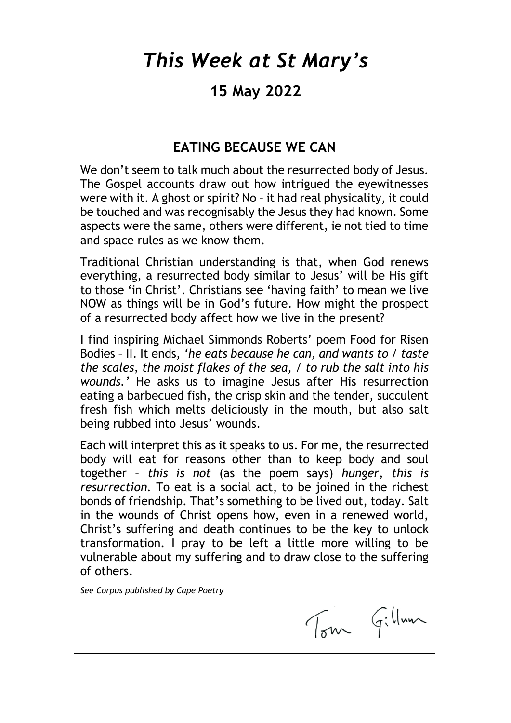# *This Week at St Mary's*

### **15 May 2022**

#### **EATING BECAUSE WE CAN**

We don't seem to talk much about the resurrected body of Jesus. The Gospel accounts draw out how intrigued the eyewitnesses were with it. A ghost or spirit? No – it had real physicality, it could be touched and was recognisably the Jesus they had known. Some aspects were the same, others were different, ie not tied to time and space rules as we know them.

Traditional Christian understanding is that, when God renews everything, a resurrected body similar to Jesus' will be His gift to those 'in Christ'. Christians see 'having faith' to mean we live NOW as things will be in God's future. How might the prospect of a resurrected body affect how we live in the present?

I find inspiring Michael Simmonds Roberts' poem Food for Risen Bodies – II. It ends, *'he eats because he can, and wants to / taste the scales, the moist flakes of the sea, / to rub the salt into his wounds.'* He asks us to imagine Jesus after His resurrection eating a barbecued fish, the crisp skin and the tender, succulent fresh fish which melts deliciously in the mouth, but also salt being rubbed into Jesus' wounds.

Each will interpret this as it speaks to us. For me, the resurrected body will eat for reasons other than to keep body and soul together – *this is not* (as the poem says) *hunger, this is resurrection.* To eat is a social act, to be joined in the richest bonds of friendship. That's something to be lived out, today. Salt in the wounds of Christ opens how, even in a renewed world, Christ's suffering and death continues to be the key to unlock transformation. I pray to be left a little more willing to be vulnerable about my suffering and to draw close to the suffering of others.

*See Corpus published by Cape Poetry*

Tom Gillaun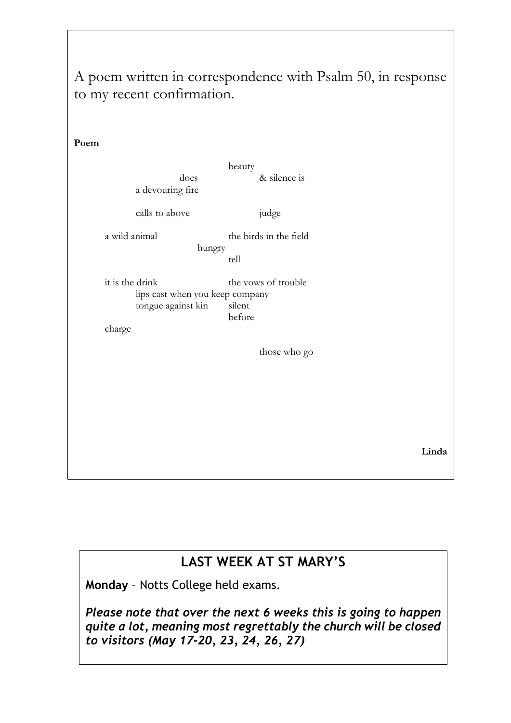| A poem written in correspondence with Psalm 50, in response<br>to my recent confirmation.                                     |
|-------------------------------------------------------------------------------------------------------------------------------|
| Poem                                                                                                                          |
| beauty<br>& silence is<br>does<br>a devouring fire                                                                            |
| calls to above<br>judge                                                                                                       |
| a wild animal<br>the birds in the field<br>hungry<br>tell                                                                     |
| it is the drink<br>the vows of trouble<br>lips cast when you keep company<br>silent<br>tongue against kin<br>before<br>charge |
| those who go                                                                                                                  |
| Linda                                                                                                                         |

## **LAST WEEK AT ST MARY'S**

**Monday** – Notts College held exams.

*Please note that over the next 6 weeks this is going to happen quite a lot, meaning most regrettably the church will be closed to visitors (May 17-20, 23, 24, 26, 27)*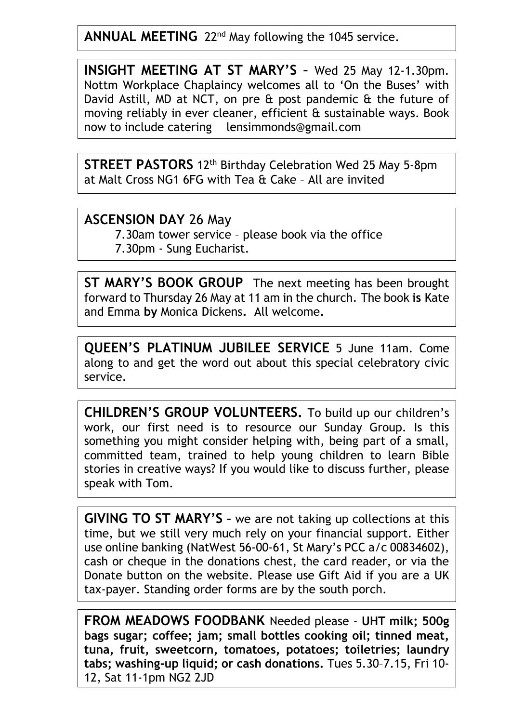**ANNUAL MEETING** 22<sup>nd</sup> May following the 1045 service.

**INSIGHT MEETING AT ST MARY'S –** Wed 25 May 12-1.30pm. Nottm Workplace Chaplaincy welcomes all to 'On the Buses' with David Astill, MD at NCT, on pre & post pandemic & the future of moving reliably in ever cleaner, efficient & sustainable ways. Book now to include catering [lensimmonds@gmail.com](mailto:lensimmonds@gmail.com)

**STREET PASTORS** 12<sup>th</sup> Birthday Celebration Wed 25 May 5-8pm at Malt Cross NG1 6FG with Tea & Cake – All are invited

#### **ASCENSION DAY** 26 May

7.30am tower service – please book via the office 7.30pm - Sung Eucharist.

**ST MARY'S BOOK GROUP** The next meeting has been brought forward to Thursday 26 May at 11 am in the church. The book **is** Kate and Emma **by** Monica Dickens**.** All welcome**.**

**QUEEN'S PLATINUM JUBILEE SERVICE** 5 June 11am. Come along to and get the word out about this special celebratory civic service.

**CHILDREN'S GROUP VOLUNTEERS.** To build up our children's work, our first need is to resource our Sunday Group. Is this something you might consider helping with, being part of a small, committed team, trained to help young children to learn Bible stories in creative ways? If you would like to discuss further, please speak with Tom.

**GIVING TO ST MARY'S –** we are not taking up collections at this time, but we still very much rely on your financial support. Either use online banking (NatWest 56-00-61, St Mary's PCC a/c 00834602), cash or cheque in the donations chest, the card reader, or via the Donate button on the website. Please use Gift Aid if you are a UK tax-payer. Standing order forms are by the south porch.

**FROM MEADOWS FOODBANK** Needed please - **UHT milk; 500g bags sugar; coffee; jam; small bottles cooking oil; tinned meat, tuna, fruit, sweetcorn, tomatoes, potatoes; toiletries; laundry tabs; washing-up liquid; or cash donations.** Tues 5.30–7.15, Fri 10- 12, Sat 11-1pm NG2 2JD